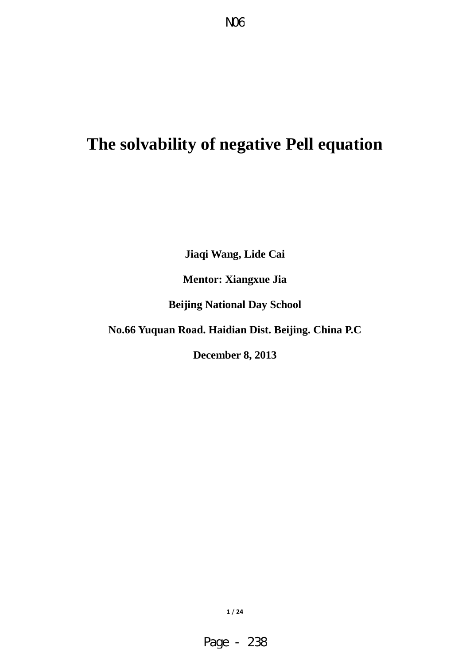# **The solvability of negative Pell equation**

**Jiaqi Wang, Lide Cai** 

**Mentor: Xiangxue Jia** 

**Beijing National Day School** 

**No.66 Yuquan Road. Haidian Dist. Beijing. China P.C** 

**December 8, 2013**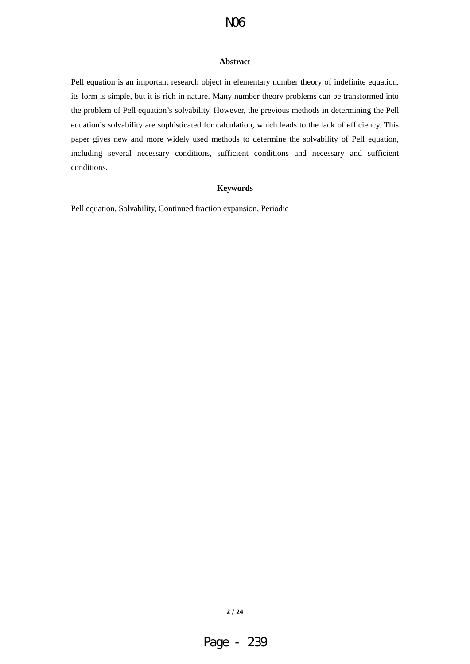#### **Abstract**

Pell equation is an important research object in elementary number theory of indefinite equation. its form is simple, but it is rich in nature. Many number theory problems can be transformed into the problem of Pell equation's solvability. However, the previous methods in determining the Pell equation's solvability are sophisticated for calculation, which leads to the lack of efficiency. This paper gives new and more widely used methods to determine the solvability of Pell equation, including several necessary conditions, sufficient conditions and necessary and sufficient conditions.

### **Keywords**

Pell equation, Solvability, Continued fraction expansion, Periodic

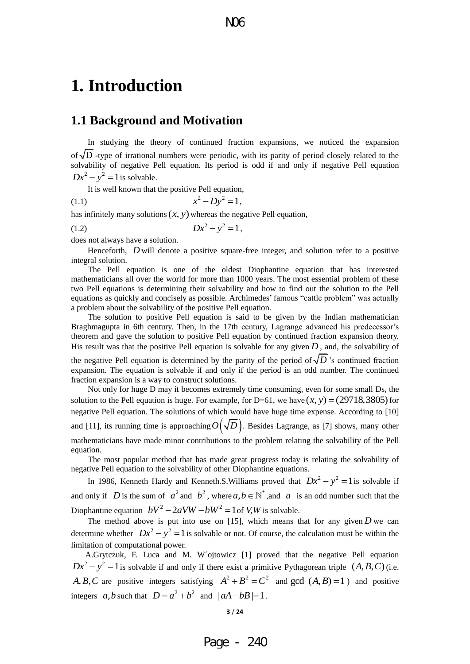## **1. Introduction**

## **1.1 Background and Motivation**

In studying the theory of continued fraction expansions, we noticed the expansion of D **-**type of irrational numbers were periodic, with its parity of period closely related to the solvability of negative Pell equation. Its period is odd if and only if negative Pell equation  $Dx^2 - y^2 = 1$  is solvable.

It is well known that the positive Pell equation,

(1.1)  $x^2 - Dy^2 = 1$ ,

has infinitely many solutions  $(x, y)$  whereas the negative Pell equation,

$$
(1.2) \t\t Dx^2 - y^2 = 1,
$$

does not always have a solution.

Henceforth, *D* will denote a positive square-free integer, and solution refer to a positive integral solution.

The Pell equation is one of the oldest Diophantine equation that has interested mathematicians all over the world for more than 1000 years. The most essential problem of these two Pell equations is determining their solvability and how to find out the solution to the Pell equations as quickly and concisely as possible. Archimedes' famous "cattle problem" was actually a problem about the solvability of the positive Pell equation.

The solution to positive Pell equation is said to be given by the Indian mathematician Braghmagupta in 6th century. Then, in the 17th century, Lagrange advanced his predecessor's theorem and gave the solution to positive Pell equation by continued fraction expansion theory. His result was that the positive Pell equation is solvable for any given  $D$ , and, the solvability of

the negative Pell equation is determined by the parity of the period of  $\sqrt{D}$  's continued fraction expansion. The equation is solvable if and only if the period is an odd number. The continued fraction expansion is a way to construct solutions.

Not only for huge D may it becomes extremely time consuming, even for some small Ds, the solution to the Pell equation is huge. For example, for D=61, we have  $(x, y) = (29718,3805)$  for negative Pell equation. The solutions of which would have huge time expense. According to [10] and [11], its running time is approaching  $O(\sqrt{D})$ . Besides Lagrange, as [7] shows, many other mathematicians have made minor contributions to the problem relating the solvability of the Pell equation.

The most popular method that has made great progress today is relating the solvability of negative Pell equation to the solvability of other Diophantine equations.

In 1986, Kenneth Hardy and Kenneth.S. Williams proved that  $Dx^2 - y^2 = 1$  is solvable if and only if D is the sum of  $a^2$  and  $b^2$ , where  $a, b \in \mathbb{N}^*$ , and a is an odd number such that the Diophantine equation  $bV^2 - 2aVW - bW^2 = 1$  of *V,W* is solvable.

The method above is put into use on  $[15]$ , which means that for any given  $D$  we can determine whether  $Dx^2 - y^2 = 1$  is solvable or not. Of course, the calculation must be within the limitation of computational power.

A.Grytczuk, F. Luca and M. W´ojtowicz [1] proved that the negative Pell equation  $Dx^2 - y^2 = 1$  is solvable if and only if there exist a primitive Pythagorean triple  $(A, B, C)$  (i.e. *A, B, C* are positive integers satisfying  $A^2 + B^2 = C^2$  and gcd  $(A, B) = 1$  and positive integers  $a, b$  such that  $D = a^2 + b^2$  and  $|aA - bB| = 1$ .

#### **3** / **24**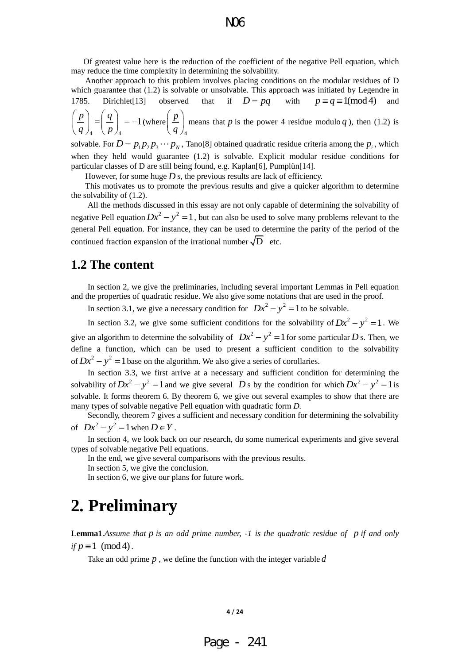Of greatest value here is the reduction of the coefficient of the negative Pell equation, which may reduce the time complexity in determining the solvability.

Another approach to this problem involves placing conditions on the modular residues of D which guarantee that (1.2) is solvable or unsolvable. This approach was initiated by Legendre in 1785. Dirichlet<sup>[13]</sup> observed that if  $D = pq$  with  $p \equiv q \equiv 1 \pmod{4}$  and 4  $\binom{p}{4}$  $\left[\frac{p}{p}\right]=\left[\frac{q}{p}\right]=-1$  $\left(\frac{p}{q}\right)_4 = \left(\frac{q}{p}\right)_4 = -1$  $\left(\frac{P}{q}\right)_4 = \left(\frac{q}{p}\right)_4 = -1$  (where 4 *p*  $\left(\frac{p}{q}\right)$ means that  $p$  is the power 4 residue modulo  $q$ ), then (1.2) is solvable. For  $D = p_1 p_2 p_3 \cdots p_N$ , Tano<sup>[8]</sup> obtained quadratic residue criteria among the  $p_i$ , which

when they held would guarantee (1.2) is solvable. Explicit modular residue conditions for particular classes of D are still being found, e.g. Kaplan[6], Pumplün[14].

However, for some huge  $D$  s, the previous results are lack of efficiency.

This motivates us to promote the previous results and give a quicker algorithm to determine the solvability of (1.2).

 All the methods discussed in this essay are not only capable of determining the solvability of negative Pell equation  $Dx^2 - y^2 = 1$ , but can also be used to solve many problems relevant to the general Pell equation. For instance, they can be used to determine the parity of the period of the continued fraction expansion of the irrational number  $\sqrt{D}$  etc.

## **1.2 The content**

 In section 2, we give the preliminaries, including several important Lemmas in Pell equation and the properties of quadratic residue. We also give some notations that are used in the proof.

In section 3.1, we give a necessary condition for  $Dx^2 - y^2 = 1$  to be solvable.

In section 3.2, we give some sufficient conditions for the solvability of  $Dx^2 - y^2 = 1$ . We give an algorithm to determine the solvability of  $Dx^2 - y^2 = 1$  for some particular D s. Then, we define a function, which can be used to present a sufficient condition to the solvability of  $Dx^2 - y^2 = 1$  base on the algorithm. We also give a series of corollaries.

In section 3.3, we first arrive at a necessary and sufficient condition for determining the solvability of  $Dx^2 - y^2 = 1$  and we give several D s by the condition for which  $Dx^2 - y^2 = 1$  is solvable. It forms theorem 6. By theorem 6, we give out several examples to show that there are many types of solvable negative Pell equation with quadratic form *D.*

Secondly, theorem 7 gives a sufficient and necessary condition for determining the solvability of  $Dx^2 - y^2 = 1$  when  $D \in Y$ .

In section 4, we look back on our research, do some numerical experiments and give several types of solvable negative Pell equations.

In the end, we give several comparisons with the previous results.

In section 5, we give the conclusion.

In section 6, we give our plans for future work.

## **2. Preliminary**

**Lemma1**.Assume that p is an odd prime number, -1 is the quadratic residue of p if and only *if*  $p \equiv 1 \pmod{4}$ .

Take an odd prime *p* , we define the function with the integer variable *d*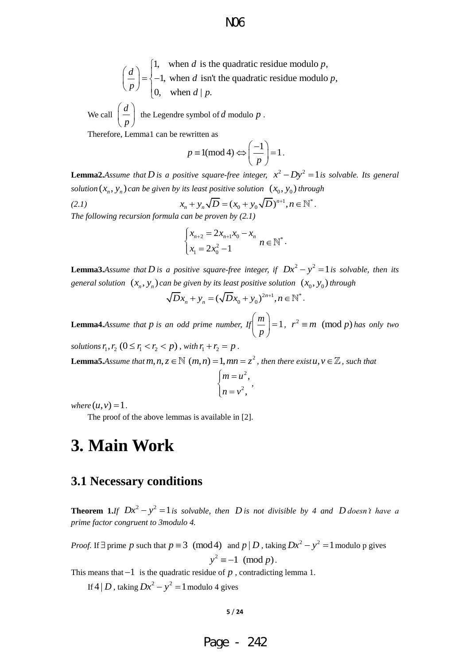1, when *d* is the quadratic residue modulo *p*,<br>-1, when *d* isn't the quadratic residue modulo *p*,<br>0, when *d* | *p*.<br>
Legendre symbol of *d* modulo *p* .<br>
can be rewritten as<br>  $p \equiv 1 \pmod{4} \Leftrightarrow \left(\frac{-1}{p}\right) = 1$ .<br>
bis a when *d* is the quadratic residue modulo  $p$ ,<br>1, when *d* isn't the quadratic residue modulo  $p$ , 1, when *d* is to <br>-1, when *d* is n<br>0, when *d* | *p*.  $\begin{bmatrix} 1, & \text{when } d \text{ is the quadratic residue modulo } p \end{bmatrix}$  $\begin{pmatrix} 1, & \text{when } d \text{ is the quadratic residue modulo } p, \\ -1, & \text{when } d \text{ isn't the quadratic residue modulo } p. \end{pmatrix}$  $\begin{cases} 1, & \text{when } d \text{ is } 4 \\ -1, & \text{when } d \text{ is } 6 \\ 0, & \text{when } d \mid p \end{cases}$  $\left(\frac{d}{p}\right) = \begin{cases} 1, & \text{when } a \\ -1, & \text{when } a \end{cases}$  $\left(\frac{d}{p}\right) = \begin{cases} 1, & w \\ -1, & w \\ 0, & w \end{cases}$ 

We call  $\int \frac{d}{dx}$  $\left(\frac{d}{p}\right)$ the Legendre symbol of *d* modulo *p* .

Therefore, Lemma1 can be rewritten as

$$
p \equiv 1 \pmod{4} \Leftrightarrow \left(\frac{-1}{p}\right) = 1.
$$

**Lemma2.***Assume that D* is a positive square-free integer,  $x^2 - Dy^2 = 1$  is solvable. Its general *solution*  $(x_n, y_n)$  *can be given by its least positive solution*  $(x_0, y_0)$  *through* 

*(2.1) its least positive solution*  $(x_0, y_0)$  *throug*<br> $x_n + y_n \sqrt{D} = (x_0 + y_0 \sqrt{D})^{n+1}, n \in \mathbb{N}^*.$ *The following recursion formula can be proven by (2.1)* 

$$
\begin{cases} x_{n+2} = 2x_{n+1}x_0 - x_n \\ x_1 = 2x_0^2 - 1 \end{cases}
$$
  $n \in \mathbb{N}^*$ .

**Lemma3.***Assume that D* is a positive square-free integer, if  $Dx^2 - y^2 = 1$  is solvable, then its *general solution*  $(x_n, y_n)$  *can be given by its least positive solution*  $(x_0, y_0)$  *through* 

in be given by its least positive solution (x)  

$$
\sqrt{D}x_n + y_n = (\sqrt{D}x_0 + y_0)^{2n+1}, n \in \mathbb{N}^*.
$$

**Lemma4.***Assume that*  $p$  is an odd prime number,  $If \begin{pmatrix} m \\ - \end{pmatrix} = 1$  $\left(\frac{m}{p}\right)$  =  $\langle p \rangle$ *r*  $r^2 \equiv m \pmod{p}$  has only two solutions  $r_1, r_2$   $(0 \le r_1 < r_2 < p)$ , with  $r_1 + r_2 = p$ .

**Lemma5.**Assume that  $m, n, z \in \mathbb{N}$   $(m, n) = 1, mn = z^2$ , then there exist  $u, v \in \mathbb{Z}$ , such that

$$
\begin{cases} m = u^2, \\ n = v^2, \end{cases}
$$

*,* 

 $where (u, v) = 1.$ 

The proof of the above lemmas is available in [2].

## **3. Main Work**

## **3.1 Necessary conditions**

**Theorem 1.***If*  $Dx^2 - y^2 = 1$  *is solvable, then D is not divisible by 4 and D doesn't have a prime factor congruent to 3modulo 4.*

*Proof.* If  $\exists$  prime p such that  $p \equiv 3 \pmod{4}$  and  $p \mid D$ , taking  $Dx^2 - y^2 = 1$  modulo p gives  $y^2 \equiv -1 \pmod{p}$ .

This means that  $-1$  is the quadratic residue of  $p$ , contradicting lemma 1.

If  $4|D$ , taking  $Dx^2 - y^2 = 1$  modulo 4 gives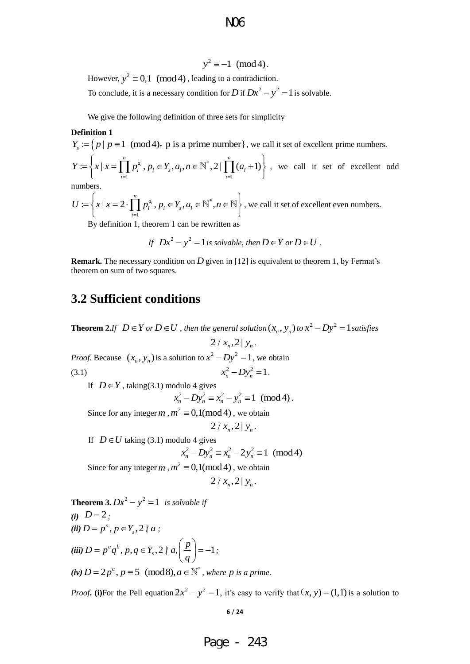$y^2 \equiv -1 \pmod{4}$ .

However,  $y^2 \equiv 0,1 \pmod{4}$ , leading to a contradiction.

To conclude, it is a necessary condition for *D* if  $Dx^2 - y^2 = 1$  is solvable.

We give the following definition of three sets for simplicity

#### **Definition 1**

**Definition 1**  
\n
$$
Y_s := \{ p \mid p \equiv 1 \pmod{4}, p \text{ is a prime number} \}, \text{ we call it set of excellent prime numbers.}
$$
  
\n $Y := \{ x \mid x = \prod_{i=1}^n p_i^{a_i}, p_i \in Y_s, a_i, n \in \mathbb{N}^*, 2 \mid \prod_{i=1}^n (a_i + 1) \}$ , we call it set of excellent odd numbers.

numbers.

numbers.  
\n
$$
U := \left\{ x \mid x = 2 \cdot \prod_{i=1}^{n} p_i^{a_i}, p_i \in Y_s, a_i \in \mathbb{N}^*, n \in \mathbb{N} \right\},
$$
\nwe call it set of excellent even numbers.

By definition 1, theorem 1 can be rewritten as

If 
$$
Dx^2 - y^2 = 1
$$
 is solvable, then  $D \in Y$  or  $D \in U$ .

**Remark.** The necessary condition on D given in [12] is equivalent to theorem 1, by Fermat's theorem on sum of two squares.

## **3.2 Sufficient conditions**

**Theorem 2.***If*  $D \in Y$  or  $D \in U$ , then the general solution  $(x_n, y_n)$  to  $x^2 - Dy^2 = 1$  satisfies  $2 | x_n, 2 | y_n.$ *Proof.* Because  $(x_n, y_n)$  is a solution to  $x^2 - Dy^2 = 1$ , we obtain (3.1)  $x_n^2 - Dy_n^2 = 1$ . If  $D \in Y$ , taking(3.1) modulo 4 gives dulo 4 gives<br>  $x_n^2 - Dy_n^2 \equiv x_n^2 - y_n^2 \equiv 1 \pmod{4}$ . Since for any integer  $m$ ,  $m^2 \equiv 0,1 \pmod{4}$ , we obtain  $2 | x_n, 2 | y_n.$ If  $D \in U$  taking (3.1) modulo 4 gives alo 4 gives<br>  $x_n^2 - Dy_n^2 \equiv x_n^2 - 2y_n^2 \equiv 1 \pmod{4}$ Since for any integer  $m$ ,  $m^2 \equiv 0,1 \pmod{4}$ , we obtain  $2 | x_n, 2 | y_n.$ **Theorem 3.**  $Dx^2 - y^2 = 1$  *is solvable if (i)*  $D=2$ ; *(ii)*  $D = p^a, p \in Y_s, 2 \nmid a;$ 

*(iii)*  $D = p^a q^b$ ,  $p, q \in Y_s$ ,  $2 \nmid a, \left( \frac{p}{q} \right) = -1$ *D* =  $p^a q^b$ ,  $p, q \in Y_s$ , 2 ||  $a, \left( \frac{p}{q} \right)$  $= p, p \in I_s, 2 \nmid a;$ <br>=  $p^a q^b, p, q \in Y_s, 2 \nmid a, \left( \frac{p}{q} \right) = -1;$ *;*   $(iv) D = 2p^a, p \equiv 5 \pmod{8}, a \in \mathbb{N}^*$  $D = 2p^a, p \equiv 5 \pmod{8}, a \in \mathbb{N}^*$ , where p is a prime.

*Proof***.** (i)For the Pell equation  $2x^2 - y^2 = 1$ , it's easy to verify that  $(x, y) = (1,1)$  is a solution to

**6** / **24**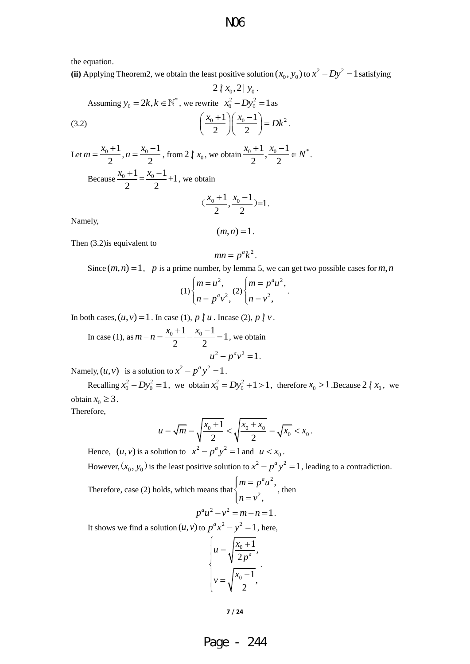the equation.

(ii) Applying Theorem2, we obtain the least positive solution  $(x_0, y_0)$  to  $x^2 - Dy^2 = 1$  satisfying  $2 \times 2 \times$ 

$$
\angle t \, x_0, \angle 1 \, y_0.
$$
  
Assuming  $y_0 = 2k, k \in \mathbb{N}^*$ , we rewrite  $x_0^2 - Dy_0^2 = 1$  as  
(3.2) 
$$
\left(\frac{x_0 + 1}{2}\right) \left(\frac{x_0 - 1}{2}\right) = Dk^2.
$$

Let  $m = \frac{x_0 + 1}{x_0 - 1}$ 2  $m = \frac{x_0 + 1}{2}, n = \frac{x_0 - 1}{2}$ 2  $n = \frac{x_0 - 1}{2}$ , from 2  $\vert x_0$ , we obtain  $\frac{x_0 + 1}{2}, \frac{x_0 - 1}{2} \in N^*$  $\frac{x_0+1}{2}, \frac{x_0-1}{2} \in N^*$ . Because  $\frac{x_0+1}{2} = \frac{x_0-1}{2} + 1$ 2 2  $\frac{x_0+1}{x_0} = \frac{x_0-1}{x_0} + 1$ , we obtain

$$
(\frac{x_0+1}{2}, \frac{x_0-1}{2})=1.
$$

Namely,

$$
(m,n)=1.
$$

Then (3.2)is equivalent to

$$
mn = p^a k^2.
$$

Since  $(m, n) = 1$ , p is a prime number, by lemma 5, we can get two possible cases for m, n

$$
(1)\begin{cases} m = u^2, \\ n = p^a v^2, \end{cases} (2)\begin{cases} m = p^a u^2, \\ n = v^2, \end{cases}
$$

In both cases,  $(u, v) = 1$ . In case (1),  $p \nmid u$ . Incase (2),  $p \nmid v$ .

In case (1), as 
$$
m - n = \frac{x_0 + 1}{2} - \frac{x_0 - 1}{2} = 1
$$
, we obtain  

$$
u^2 - p^a v^2 = 1.
$$

Namely,  $(u, v)$  is a solution to  $x^2 - p^a y^2 = 1$ .

Recalling  $x_0^2 - Dy_0^2 = 1$ , we obtain  $x_0^2 = Dy_0^2 + 1 > 1$ , therefore  $x_0 > 1$ . Because 2  $\ell$   $x_0$ , we obtain  $x_0 \geq 3$ .

Therefore,

$$
u = \sqrt{m} = \sqrt{\frac{x_0 + 1}{2}} < \sqrt{\frac{x_0 + x_0}{2}} = \sqrt{x_0} < x_0.
$$

Hence,  $(u, v)$  is a solution to  $x^2 - p^a y^2 = 1$  and  $u < x_0$ .

However,  $(x_0, y_0)$  is the least positive solution to  $x^2 - p^a y^2 = 1$ , leading to a contradiction.

Therefore, case (2) holds, which means that 2 2 , ,  $m = p^a u$  $n = v$  $\Big|m =$ ┤  $\lfloor n \rfloor$ , then

$$
p^a u^2 - v^2 = m - n = 1.
$$

It shows we find a solution  $(u, v)$  to  $p^a x^2 - y^2 = 1$ , here,

$$
\begin{cases} u = \sqrt{\frac{x_0 + 1}{2p^a}}, \\ v = \sqrt{\frac{x_0 - 1}{2}}, \end{cases}
$$

**7** / **24**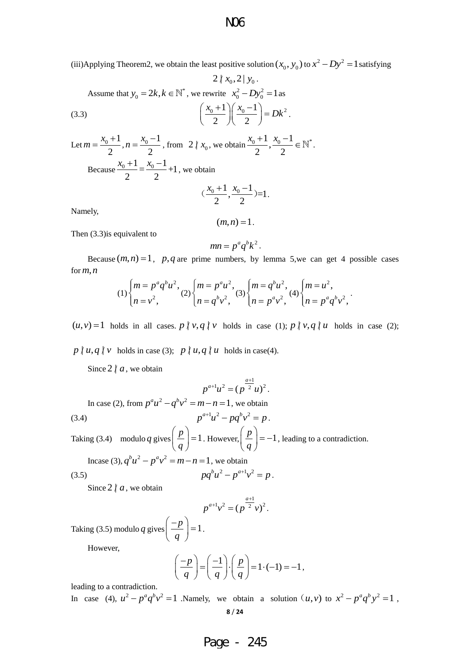(iii)Applying Theorem2, we obtain the least positive solution  $(x_0, y_0)$  to  $x^2 - Dy^2 = 1$  satisfying

$$
2 \mid x_0, 2 \mid y_0.
$$
  
Assume that  $y_0 = 2k, k \in \mathbb{N}^*$ , we rewrite  $x_0^2 - Dy_0^2 = 1$  as\n
$$
\left(\frac{x_0 + 1}{2}\right) \left(\frac{x_0 - 1}{2}\right) = Dk^2.
$$

Let  $m = \frac{x_0 + 1}{x_0 - 1}$ 2  $m = \frac{x_0 + 1}{2}, n = \frac{x_0 - 1}{2}$ 2  $n = \frac{x_0 - 1}{2}$ , from 2  $\binom{x_0}{x_0}$ , we obtain  $\frac{x_0 + 1}{2}, \frac{x_0 - 1}{2} \in \mathbb{N}^*$  $\frac{x_0+1}{x_0-1}, \frac{x_0-1}{x_0} \in \mathbb{N}^*.$ Because  $\frac{x_0+1}{2} = \frac{x_0-1}{2} + 1$  $2^{\sim}$  2  $\frac{x_0+1}{x_0-1} = \frac{x_0-1}{x_0-1} + 1$ , we obtain

$$
(\frac{x_0+1}{2}, \frac{x_0-1}{2})=1.
$$

Namely,

 $(m, n) = 1$ .

Then (3.3)is equivalent to

$$
mn = p^a q^b k^2.
$$

Because  $(m, n) = 1$ , p, q are prime numbers, by lemma 5, we can get 4 possible cases for  $m, n$ 

$$
(1)\begin{cases} m = p^a q^b u^2, \\ n = v^2, \end{cases} (2)\begin{cases} m = p^a u^2, \\ n = q^b v^2, \end{cases} (3)\begin{cases} m = q^b u^2, \\ n = p^a v^2, \end{cases} (4)\begin{cases} m = u^2, \\ n = p^a q^b v^2, \end{cases}.
$$

 $(u, v) = 1$  holds in all cases.  $p \nmid v, q \nmid v$  holds in case (1);  $p \nmid v, q \nmid u$  holds in case (2);

 $p \nmid u, q \nmid v$  holds in case (3);  $p \nmid u, q \nmid u$  holds in case(4).

Since  $2 \nmid a$ , we obtain

$$
p^{a+1}u^2=(p^{\frac{a+1}{2}}u)^2.
$$

In case (2), from 
$$
p^a u^2 - q^b v^2 = m - n = 1
$$
, we obtain  
(3.4) 
$$
p^{a+1} u^2 - p q^b v^2 = p.
$$

Taking (3.4) modulo *q* gives  $\left(\frac{p}{p}\right) = 1$  $\left(\frac{p}{q}\right)$ =  $\langle q \rangle$ . However,  $\left(\frac{p}{p}\right) = -1$  $\left(\frac{p}{q}\right) = \langle q \rangle$ , leading to a contradiction.  $b_{\mu}^2 - n^a$ 

$$
\text{Incase (3), } q^b u^2 - p^a v^2 = m - n = 1 \text{, we obtain}
$$
\n
$$
pq^b u^2 - p^{a+1} v^2 = p \text{.}
$$

Since  $2 \nmid a$ , we obtain

$$
p^{a+1}v^2 = (p^{\frac{a+1}{2}}v)^2.
$$

Taking (3.5) modulo *q* gives  $\left( \frac{-p}{p} \right) = 1$ *q*  $\left(\frac{-p}{q}\right)$ =  $\left(\begin{array}{c} q \end{array}\right)$ .

However,

$$
\left(\frac{-p}{q}\right) = \left(\frac{-1}{q}\right) \cdot \left(\frac{p}{q}\right) = 1 \cdot (-1) = -1,
$$

leading to a contradiction.

**8** / **24** In case (4),  $u^2 - p^a q^b v^2 = 1$  Namely, we obtain a solution  $(u, v)$  to  $x^2 - p^a q^b y^2 = 1$ ,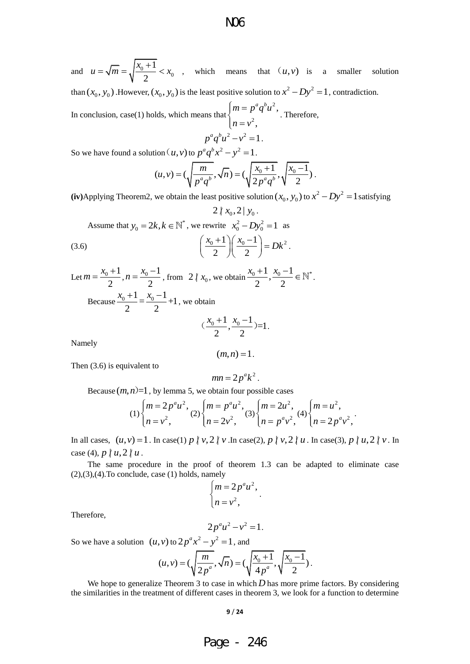and  $u = \sqrt{m} = \sqrt{\frac{x_0 + 1}{2}} < x_0$ 1 2  $u = \sqrt{m} = \sqrt{\frac{x_0 + 1}{2}} < x_0$ , which means that  $(u, v)$  is a smaller solution than  $(x_0, y_0)$ . However,  $(x_0, y_0)$  is the least positive solution to  $x^2 - Dy^2 = 1$ , contradiction. 2 ,  $m = p^a q^b u$  $\Big|m =$ 

In conclusion, case(1) holds, which means that 2 ,  $n = v$ ┤  $\left\lfloor n\right\rfloor$ . Therefore,

$$
p^a q^b u^2 - v^2 = 1.
$$

So we have found a solution 
$$
(u, v)
$$
 to  $p^a q^b x^2 - y^2 = 1$ .  
\n
$$
(u, v) = (\sqrt{\frac{m}{p^a q^b}}, \sqrt{n}) = (\sqrt{\frac{x_0 + 1}{2p^a q^b}}, \sqrt{\frac{x_0 - 1}{2}}).
$$

 $2 | x_0, 2 | y_0$ .

(iv)Applying Theorem2, we obtain the least positive solution  $(x_0, y_0)$  to  $x^2 - Dy^2 = 1$  satisfying

Assume that 
$$
y_0 = 2k, k \in \mathbb{N}^*
$$
, we rewrite  $x_0^2 - Dy_0^2 = 1$  as  
(3.6) 
$$
\left(\frac{x_0 + 1}{2}\right)\left(\frac{x_0 - 1}{2}\right) = Dk^2.
$$

Let  $m = \frac{x_0 + 1}{2}$ 2  $m = \frac{x_0 + 1}{2}, n = \frac{x_0 - 1}{2}$ 2  $n = \frac{x_0 - 1}{2}$ , from 2  $\binom{x_0}{x_0}$ , we obtain  $\frac{x_0 + 1}{2}, \frac{x_0 - 1}{2} \in \mathbb{N}^*$  $\frac{x_0+1}{2}, \frac{x_0-1}{2} \in \mathbb{N}^*.$ Because  $\frac{x_0+1}{2} = \frac{x_0-1}{2} + 1$  $2^{\sim}$  2  $\frac{x_0+1}{x_0-1} = \frac{x_0-1}{x_0-1} + 1$ , we obtain  $(\frac{1}{2}, \frac{x_0 - 1}{2}) = 1$  $(\frac{x_0+1}{\cdot}, \frac{x_0-1}{\cdot})=1$ .

$$
(\frac{x_0+1}{2}, \frac{x_0-1}{2})
$$

Namely

$$
(m,n)=1.
$$

Then (3.6) is equivalent to

$$
mn=2p^ak^2.
$$

Because  $(m, n)$ =1, by lemma 5, we obtain four possible cases

$$
(1)\begin{cases} m=2p^au^2, \\ n=v^2, \end{cases} (2)\begin{cases} m=p^au^2, \\ n=2v^2, \end{cases} (3)\begin{cases} m=2u^2, \\ n=p^av^2, \end{cases} (4)\begin{cases} m=u^2, \\ n=2p^av^2, \end{cases}.
$$

In all cases,  $(u, v) = 1$ . In case(1)  $p \nmid v, 2 \nmid v$ . In case(2),  $p \nmid v, 2 \nmid u$ . In case(3),  $p \nmid u, 2 \nmid v$ . In case (4),  $p \nmid u, 2 \nmid u$ .

The same procedure in the proof of theorem 1.3 can be adapted to eliminate case  $(2),(3),(4)$ . To conclude, case  $(1)$  holds, namely

$$
\begin{cases} m = 2p^a u^2, \\ n = v^2, \end{cases}
$$

.

Therefore,

$$
2p^a u^2 - v^2 = 1.
$$

So we have a solution  $(u, v)$  to  $2p^ax^2 - y^2 = 1$ , and<br>  $(u, v) = (\sqrt{\frac{m}{2n^a}}, \sqrt{n}) = (\sqrt{\frac{x_0 + 1}{4n^a}}, \sqrt{\frac{x_0 - 1}{2}})$ 

, v) to 
$$
2p^a x^2 - y^2 = 1
$$
, and  
\n
$$
(u, v) = (\sqrt{\frac{m}{2p^a}}, \sqrt{n}) = (\sqrt{\frac{x_0 + 1}{4p^a}}, \sqrt{\frac{x_0 - 1}{2}}).
$$

We hope to generalize Theorem  $3$  to case in which  $D$  has more prime factors. By considering the similarities in the treatment of different cases in theorem 3, we look for a function to determine

#### **9** / **24**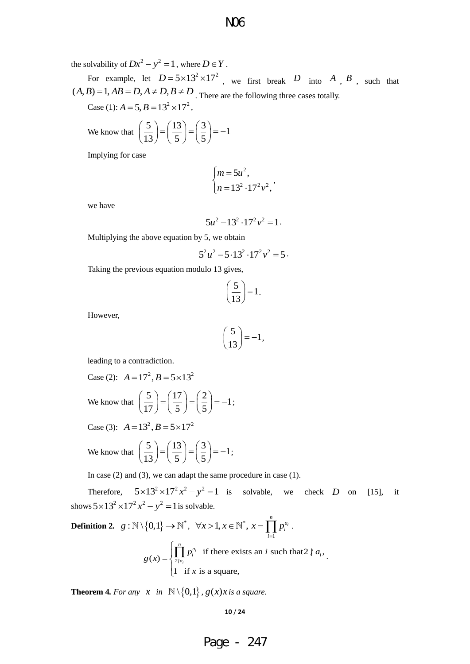### the solvability of  $Dx^2 - y^2 = 1$ , where  $D \in Y$ .

For example, let  $D = 5 \times 13^2 \times 17^2$ , we first break D into A, B, such that For example, let  $D = 5 \times 13^{-} \times 17^{-}$ , we first break D into A<br>  $(A, B) = 1, AB = D, A \neq D, B \neq D$ . There are the following three cases totally.

Case (1):  $A = 5$ ,  $B = 13^2 \times 17^2$ ,

We know that  $\left(\frac{5}{12}\right) = \left(\frac{13}{7}\right) = \left(\frac{3}{7}\right) = -1$  $\left(\frac{5}{13}\right) = \left(\frac{13}{5}\right) = \left(\frac{3}{5}\right) = -1$ 

Implying for case

$$
\begin{cases} m = 5u^2, \\ n = 13^2 \cdot 17^2 v^2, \end{cases}
$$

we have

$$
5u^2 - 13^2 \cdot 17^2 v^2 = 1
$$

Multiplying the above equation by 5, we obtain

$$
5^2u^2 - 5 \cdot 13^2 \cdot 17^2v^2 = 5
$$

Taking the previous equation modulo 13 gives,

$$
\left(\frac{5}{13}\right) = 1.
$$

However,

$$
\left(\frac{5}{13}\right) = -1,
$$

leading to a contradiction.

Case (2): 
$$
A = 17^2
$$
,  $B = 5 \times 13^2$   
We know that  $\left(\frac{5}{17}\right) = \left(\frac{17}{5}\right) = \left(\frac{2}{5}\right) = -1$ ;

Case (3):  $A = 13^2$ ,  $B = 5 \times 17^2$ 

We know that 
$$
\left(\frac{5}{13}\right) = \left(\frac{13}{5}\right) = \left(\frac{3}{5}\right) = -1;
$$

In case (2) and (3), we can adapt the same procedure in case (1).

Therefore,  $5 \times 13^2 \times 17^2 x^2 - y^2 = 1$  is solvable, we check *D* on [15], it shows  $5 \times 13^2 \times 17^2 x^2 - y^2 = 1$  is solvable.

**Definition 2.** 
$$
g: \mathbb{N} \setminus \{0,1\} \to \mathbb{N}^*, \quad \forall x > 1, x \in \mathbb{N}^*, x = \prod_{i=1}^n p_i^{a_i}.
$$
  

$$
g(x) = \begin{cases} \prod_{i=1}^n p_i^{a_i} & \text{if there exists an } i \text{ such that } 2 \nmid a_i, \\ 1 & \text{if } x \text{ is a square,} \end{cases}
$$

**Theorem 4.** For any  $x$  in  $\mathbb{N}\setminus\{0,1\}$ ,  $g(x)x$  is a square.

$$
10/24
$$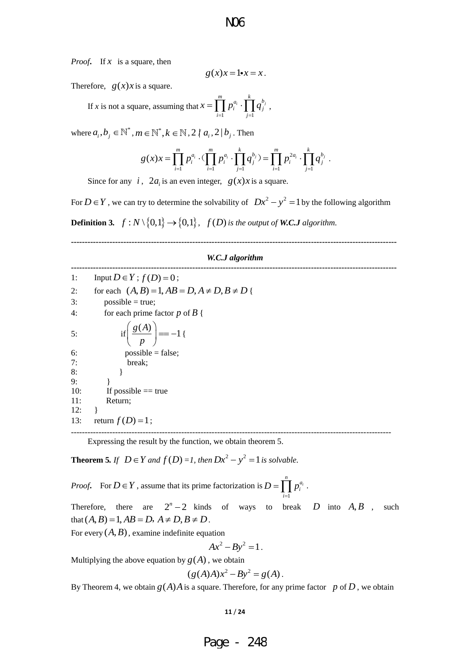*Proof***.** If *x* is a square, then

$$
g(x)x = 1 \cdot x = x.
$$

Therefore,  $g(x)x$  is a square.

 If *x* is not a square, assuming that  $\overline{1}$   $\overline{j=1}$  $\prod_{i=1}^{m} p^{a_i}$ ,  $\prod_{i=1}^{k} a^{b_i}$ *i j*  $\overline{i}$  =1  $\overline{j}$  $x = \prod p_i^{a_i} \cdot \prod q$  $=\prod_{i=1}^m p_i^{a_i} \cdot \prod_{j=1}^k q_j^{b_j} \ ,$ 

where 
$$
a_i, b_j \in \mathbb{N}^*, m \in \mathbb{N}^*, k \in \mathbb{N}, 2 \nmid a_i, 2 \mid b_j
$$
. Then  
\n
$$
g(x)x = \prod_{i=1}^m p_i^{a_i} \cdot (\prod_{i=1}^m p_i^{a_i} \cdot \prod_{j=1}^k q_j^{b_j}) = \prod_{i=1}^m p_i^{2a_i} \cdot \prod_{j=1}^k q_j^{b_j}.
$$

Since for any  $i$ ,  $2a_i$  is an even integer,  $g(x)x$  is a square.

For  $D \in Y$ , we can try to determine the solvability of  $Dx^2 - y^2 = 1$  by the following algorithm **Definition 3.**  $f: N \setminus \{0,1\} \rightarrow \{0,1\}$ ,  $f(D)$  is the output of **W.C.J** algorithm.

#### *W.C.J algorithm*

**----------------------------------------------------------------------------------------------------------------------** 

**----------------------------------------------------------------------------------------------------------------------** 

1: Input  $D \in Y$ ;  $f(D) = 0$ ; 1: Input  $D \in Y$ ;  $f(D) = 0$ ;<br>2: for each  $(A, B) = 1, AB = D, A \neq D, B \neq D$  {  $3:$  possible = true; 4: for each prime factor  $p$  of  $B \nvert$ 5: if  $g(A) = -1$  $\left(\frac{g(A)}{p}\right) = -1$  $\left(\begin{array}{cc} p \end{array}\right)$ {  $6:$  possible = false; 7: break; 8: } 9: } 10: If possible  $==$  true 11: Return;  $12: \quad \}$ 13: return  $f(D)=1$ ;

Expressing the result by the function, we obtain theorem 5.

**Theorem 5.** If  $D \in Y$  and  $f(D) = I$ , then  $Dx^2 - y^2 = 1$  is solvable.

*Proof.* For  $D \in Y$ , assume that its prime factorization is  $D = \prod_{i} p_i^{a_i}$ 1  $\prod_{n=1}^{n}$  $D = \prod p_i^{a_i}$ . *i* =

Therefore, there are  $2^n - 2$  $-2$  kinds of ways to break *D* into  $A, B$ such that  $(A, B) = 1, AB = D, A \neq D, B \neq D$ .

--------------------------------------------------------------------------------------------------------------------

For every  $(A, B)$ , examine indefinite equation

$$
Ax^2 - By^2 = 1.
$$

Multiplying the above equation by  $g(A)$ , we obtain

$$
(g(A)A)x^2 - By^2 = g(A).
$$

By Theorem 4, we obtain  $g(A)A$  is a square. Therefore, for any prime factor p of D, we obtain

#### **11** / **24**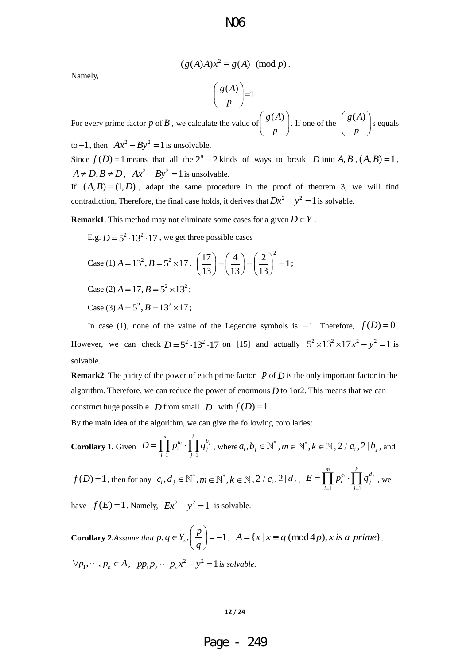Namely,

$$
(g(A)A)x^2 \equiv g(A) \pmod{p}.
$$

$$
\left(\frac{g(A)}{p}\right) = 1.
$$

For every prime factor p of B, we calculate the value of  $\frac{g(A)}{g(A)}$  $\left(\frac{g(A)}{p}\right)$ . If one of the  $\int \frac{g(A)}{g(A)}$  $\left(\frac{g(A)}{p}\right)$ s equals

to  $-1$ , then  $Ax^2 - By^2 = 1$  is unsolvable.

Since  $f(D) = 1$  means that all the  $2^n - 2$  kinds of ways to break D into A, B,  $(A, B) = 1$ ,  $A \neq D$ ,  $B \neq D$ ,  $Ax^{2} - By^{2} = 1$  is unsolvable.

If  $(A, B) = (1, D)$ , adapt the same procedure in the proof of theorem 3, we will find contradiction. Therefore, the final case holds, it derives that  $Dx^2 - y^2 = 1$  is solvable.

**Remark1**. This method may not eliminate some cases for a given  $D \in Y$ .

E.g.  $D = 5^2 \cdot 13^2 \cdot 17$ , we get three possible cases

Case (1) 
$$
A = 13^2
$$
,  $B = 5^2 \times 17$ ,  $\left(\frac{17}{13}\right) = \left(\frac{4}{13}\right) = \left(\frac{2}{13}\right)^2 = 1$ ;

Case (2)  $A = 17$ ,  $B = 5^2 \times 13^2$ ;

Case (3)  $A = 5^2$ ,  $B = 13^2 \times 17$ ;

In case (1), none of the value of the Legendre symbols is  $-1$ . Therefore,  $f(D) = 0$ . However, we can check  $D = 5^2 \cdot 13^2 \cdot 17$  on [15] and actually  $5^2 \times 13^2 \times 17x^2 - y^2 = 1$  is solvable.

**Remark2**. The parity of the power of each prime factor  $p$  of  $D$  is the only important factor in the algorithm. Therefore, we can reduce the power of enormous  $D$  to 1or2. This means that we can construct huge possible *D* from small *D* with  $f(D) = 1$ .

By the main idea of the algorithm, we can give the following corollaries:

**Corollary 1.** Given 
$$
D = \prod_{i=1}^{m} p_i^{a_i} \cdot \prod_{j=1}^{k} q_j^{b_j}
$$
, where  $a_i, b_j \in \mathbb{N}^*$ ,  $m \in \mathbb{N}^*$ ,  $k \in \mathbb{N}, 2 \nmid a_i, 2 \mid b_j$ , and

 $f(D) = 1$ , then for any  $c_i, d_j \in \mathbb{N}^*, m \in \mathbb{N}^*, k \in \mathbb{N}, 2 \nmid c_i, 2 | d_j,$  $\overline{1}$   $\overline{j=1}$  $\prod_{i=1}^{m} p_i^{c_i} \cdot \prod_{j=1}^{k} q_j^{d_j}$  $\overline{i}$  *j*  $E = \prod_{i=1}^{m} p_i^{c_i} \cdot \prod_{i=1}^{n} q_i$  $=\prod_{i=1}^m p_i^{c_i} \cdot \prod_{j=1}^k q_j^{d_j}$ , we

have  $f(E) = 1$ . Namely,  $Ex^2 - y^2 = 1$  is solvable.

**Corollary 2.***Assume that*  $p, q \in Y_s$ ,  $\left( \frac{p}{q} \right) = -1$ *q*  $\in Y_s$ ,  $\left(\frac{p}{q}\right) = -1$ . *A* = { $x | x \equiv q \pmod{4p}$ , *x is a prime*}.  $\forall p_1, \dots, p_n \in A$ ,  $pp_1p_2 \dots p_nx^2 - y^2 = 1$  is solvable.

$$
12/24
$$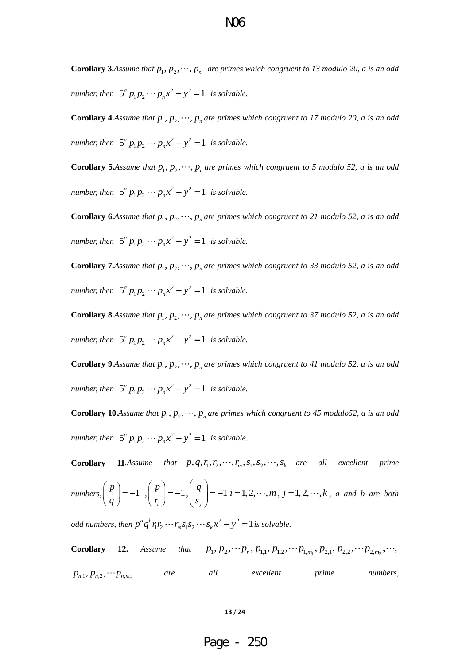**Corollary 3.***Assume that*  $p_1, p_2, \dots, p_n$  *are primes which congruent to 13 modulo 20, a is an odd number, then*  $5^a p_1 p_2 \cdots p_n x^2 - y^2 = 1$  *is solvable.* 

**Corollary 4.***Assume that*  $p_1, p_2, \dots, p_n$  *are primes which congruent to 17 modulo 20, a is an odd number, then*  $5^a p_1 p_2 \cdots p_n x^2 - y^2 = 1$  *is solvable.* 

**Corollary 5.***Assume that*  $p_1, p_2, \dots, p_n$  *are primes which congruent to 5 modulo 52, a is an odd number, then*  $5^a p_1 p_2 \cdots p_n x^2 - y^2 = 1$  *is solvable.* 

**Corollary 6.***Assume that*  $p_1, p_2, \dots, p_n$  *are primes which congruent to 21 modulo 52, a is an odd number, then*  $5^a p_1 p_2 \cdots p_n x^2 - y^2 = 1$  *is solvable.* 

**Corollary 7.***Assume that*  $p_1, p_2, \dots, p_n$  *are primes which congruent to 33 modulo 52, a is an odd number, then*  $5^a p_1 p_2 \cdots p_n x^2 - y^2 = 1$  *is solvable.* 

**Corollary 8.***Assume that*  $p_1, p_2, \dots, p_n$  *are primes which congruent to 37 modulo 52, a is an odd number, then*  $5^a p_1 p_2 \cdots p_n x^2 - y^2 = 1$  *is solvable.* 

**Corollary 9.***Assume that*  $p_1, p_2, \dots, p_n$  *are primes which congruent to 41 modulo 52, a is an odd number, then*  $5^a p_1 p_2 \cdots p_n x^2 - y^2 = 1$  *is solvable.* 

**Corollary 10.***Assume that*  $p_1, p_2, \dots, p_n$  *are primes which congruent to 45 modulo52, a is an odd number, then*  $5^a p_1 p_2 \cdots p_n x^2 - y^2 = 1$  *is solvable.* 

**Corollary 11***.Assume that*  $p, q, r_1, r_2, \dots, r_m, s_1, s_2, \dots, s_k$  are all excellent prime

numbers, 
$$
\left(\frac{p}{q}\right) = -1
$$
,  $\left(\frac{p}{r_i}\right) = -1$ ,  $\left(\frac{q}{s_j}\right) = -1$   $i = 1, 2, \dots, m, j = 1, 2, \dots, k$ , a and b are both

*odd numbers, then*  $p^a q^b r_1 r_2 \cdots r_m s_1 s_2 \cdots s_k x^2 - y^2 = 1$  is solvable.

*corollary* 12. *Assume that*  $p_1, p_2, \dots, p_n, p_{1,1}, p_{1,2}, \dots, p_{1,m_1}, p_{2,1}, p_{2,2}, \dots, p_{2,m_2}, \dots$  $p_{n,1}, p_{n,2}, \cdots p_{n,m_n}$ *are all excellent prime numbers,* 

**13** / **24**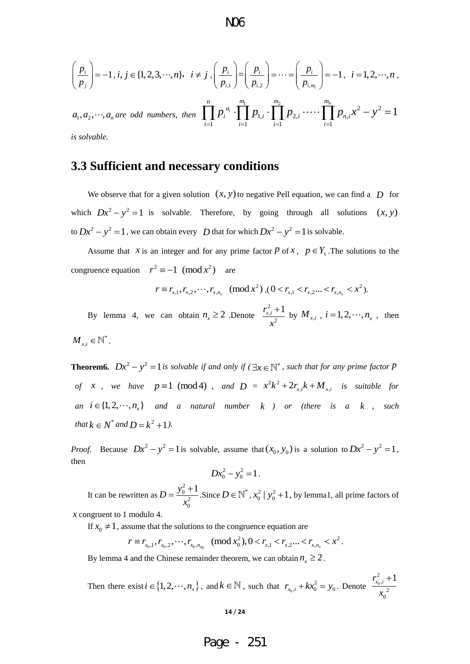$$
\left(\frac{p_i}{p_j}\right) = -1, i, j \in \{1, 2, 3, \cdots, n\}, \quad i \neq j, \left(\frac{p_i}{p_{i,1}}\right) = \left(\frac{p_i}{p_{i,2}}\right) = \cdots = \left(\frac{p_i}{p_{i,m_i}}\right) = -1, \quad i = 1, 2, \cdots, n,
$$
\n
$$
a_1, a_2, \cdots, a_n \text{ are odd numbers, then } \prod_{i=1}^n p_i^{a_i} \cdot \prod_{i=1}^{m_1} p_{1,i} \cdot \prod_{i=1}^{m_2} p_{2,i} \cdot \cdots \cdot \prod_{i=1}^{m_n} p_{n,i} x^2 - y^2 = 1
$$

 $a_1, a_2, \dots, a_n$  are odd numbers, then  $\prod_{1}^{n_1} p_1 \cdots \prod_{n=1}^{m_2} p_2 \cdots \cdots \prod_{n=1}^{m_n} p_n \cdot x^2 - y^2$  $p_{1,i} \cdot \prod^{m_2} p_{2,i} \cdot \dots \cdot \prod^{m_n} p_{n,i}$  $\prod_{i=1}^n p_i^{a_i} \cdot \prod_{i=1}^{m_1} p_{1,i} \cdot \prod_{i=1}^{m_2} p_{2,i} \cdot \cdots \cdot \prod_{i=1}^{m_n} p_{n,i} x^2 - y^2 = 1$  $\prod_{i=1}^{n} p_i^{a_i} \cdot \prod_{i=1}^{m_1} p_{1,i} \cdot \prod_{i=1}^{m_2} p_{2,i} \cdot \cdots \cdot \prod_{i=1}^{m_n} p_{n,i}$  $\prod_{i=1} P_i$ <sup>n</sup>  $\cdot$   $\prod_{i=1} P_{1,i}$   $\cdot \prod_{i=1} P_{2,i}$   $\cdots$   $\cdot \prod_{i} P_{i}$  $p_i^{a_i} \cdot \prod^{m_1} p_{1,i} \cdot \prod^{m_2} p_{2,i} \cdot \cdots \cdot \prod^{m_n} p_{n,i} x^2 - y$ *is solvable.* 

## **3.3 Sufficient and necessary conditions**

We observe that for a given solution  $(x, y)$  to negative Pell equation, we can find a  $D$  for which  $Dx^2 - y^2 = 1$  is solvable. Therefore, by going through all solutions  $(x, y)$ to  $Dx^2 - y^2 = 1$ , we can obtain every *D* that for which  $Dx^2 - y^2 = 1$  is solvable.

Assume that *x* is an integer and for any prime factor *p* of *x*,  $p \in Y_s$ . The solutions to the congruence equation  $r^2 \equiv -1 \pmod{x^2}$  are

$$
r \equiv r_{x,1}, r_{x,2}, \cdots, r_{x,n_x} \pmod{x^2}, (0 < r_{x,1} < r_{x,2} \cdots < r_{x,n_x} < x^2).
$$

By lemma 4, we can obtain  $n_x \ge 2$  Denote 2 , 2  $r_{x,i}^2 + 1$ *x*  $\frac{+1}{2}$  by  $M_{x,i}$ ,  $i = 1, 2, \dots, n_x$ , then  $M_{x,i} \in \mathbb{N}^*.$ 

**Theorem6.**  $Dx^2 - y^2 = 1$  is solvable if and only if ( $\exists x \in \mathbb{N}^*$ , such that for any prime factor P *of x*, we have  $p \equiv 1 \pmod{4}$ , and  $D = x^2 k^2 + 2r_{x,i} k + M_{x,i}$  is suitable for *an*  $i \in \{1, 2, \dots, n_x\}$  and a natural number  $k$  ) or (there is a  $k$ , such and  $k$ *that*  $k \in N^*$  *and*  $D = k^2 + 1$ *).* 

*Proof.* Because  $Dx^2 - y^2 = 1$  is solvable, assume that  $(x_0, y_0)$  is a solution to  $Dx^2 - y^2 = 1$ , then

$$
Dx_0^2 - y_0^2 = 1.
$$

It can be rewritten as 2 0 2  $\mathbf{0}$  $D = \frac{y_0^2 + 1}{2}$ *x*  $=\frac{y_0^2+1}{x^2}$ . Since  $D \in \mathbb{N}^*$ ,  $x_0^2 | y_0^2+1$ , by lemma1, all prime factors of

*x* congruent to 1 modulo 4.

If  $x_0 \neq 1$ , assume that the solutions to the congruence equation are<br>  $r \equiv r_1, r_2, \dots, r_n \pmod{x_0^2}, 0 < r_1 < r_2, \dots < r_n < x^2$ 

\n The equation 
$$
4
$$
 is the solutions to the congruence equation are\n  $r \equiv r_{x_0,1}, r_{x_0,2}, \ldots, r_{x_0, n_{x_0}} \pmod{x_0^2}, 0 < r_{x,1} < r_{x,2} \ldots < r_{x, n_x} < x^2.$ \n

By lemma 4 and the Chinese remainder theorem, we can obtain  $n_x \ge 2$ .

Then there exist  $i \in \{1, 2, \dots, n_x\}$ , and  $k \in \mathbb{N}$ , such that  $r_{x_0}$  $r_{x_0,i} + kx_0^2 = y_0$ . Denote  $\frac{x_0}{x_0}$ 2 , 2 0  $r_{x_0,i}^2 + 1$ *x*  $\overline{+}$ 

#### **14** / **24**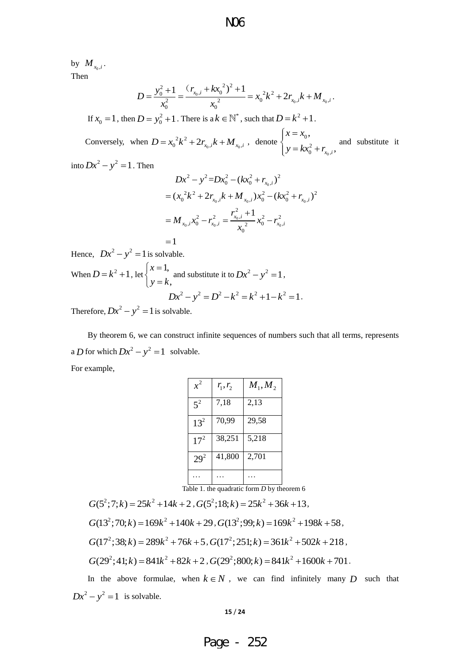by  $M_{x_0,i}$ . Then

$$
D = \frac{y_0^2 + 1}{x_0^2} = \frac{(r_{x_0,i} + kx_0^2)^2 + 1}{x_0^2} = x_0^2k^2 + 2r_{x_0,i}k + M_{x_0,i}.
$$

If  $x_0 = 1$ , then  $D = y_0^2 + 1$ . There is a  $k \in \mathbb{N}^*$ , such that  $D = k^2 + 1$ .

Conversely, when  $D = x_0^2 k^2 + 2r_{x_0,i} k + M_{x_0,i}$ , denote 0  $\mathbf{0}$ 2  $0 + x_0$ , .<br>*x*<sub>0</sub>,*i*,  $x = x$  $y = kx_0^2 + r$  $\int x =$  $\begin{cases} y = kx_0^2 + r_{x_0,i}, \end{cases}$  and substitute it

into  $Dx^2 - y^2 = 1$ . Then

$$
Dx^{2} - y^{2} = Dx_{0}^{2} - (kx_{0}^{2} + r_{x_{0},i})^{2}
$$
  
=  $(x_{0}^{2}k^{2} + 2r_{x_{0},i}k + M_{x_{0},i})x_{0}^{2} - (kx_{0}^{2} + r_{x_{0},i})^{2}$   
=  $M_{x_{0},i}x_{0}^{2} - r_{x_{0},i}^{2} = \frac{r_{x_{0},i}^{2} + 1}{x_{0}^{2}}x_{0}^{2} - r_{x_{0},i}^{2}$ 

 $=1$ Hence,  $Dx^2 - y^2 = 1$  is solvable. When  $D = k^2 + 1$ , let 1, , *x*  $y = k$  $\left(x\right)$  $\begin{cases} x^2 - 1, \\ y = k, \end{cases}$  and substitute it to  $Dx^2 - y^2 = 1$ ,  $Dx^{2} - y^{2} = D^{2} - k^{2} = k^{2} + 1 - k^{2} = 1$ .

Therefore,  $Dx^2 - y^2 = 1$  is solvable.

By theorem 6, we can construct infinite sequences of numbers such that all terms, represents a *D* for which  $Dx^2 - y^2 = 1$  solvable. For example,

| $x^2$    | $r_1, r_2$ | $M_1, M_2$ |
|----------|------------|------------|
| $5^2$    | 7,18       | 2,13       |
| $13^{2}$ | 70,99      | 29,58      |
| $17^{2}$ | 38,251     | 5,218      |
| $29^{2}$ | 41,800     | 2,701      |
|          |            |            |

Table 1. the quadratic form *D* by theorem 6

 $G(5^2; 7; k) = 25k^2 + 14k + 2$ ,  $G(5^2; 18; k) = 25k^2 + 36k + 13$ ,  $G(13^2; 70; k) = 169k^2 + 140k + 29$ ,  $G(13^2; 99; k) = 169k^2 + 198k + 58$ ,  $G(17^2; 38; k) = 289k^2 + 76k + 5$ ,  $G(17^2; 251; k) = 361k^2 + 502k + 218$ ,  $G(29^2; 41; k) = 841k^2 + 82k + 2$ ,  $G(29^2; 800; k) = 841k^2 + 1600k + 701$ .

In the above formulae, when  $k \in N$ , we can find infinitely many D such that  $Dx^2 - y^2 = 1$  is solvable.

#### **15** / **24**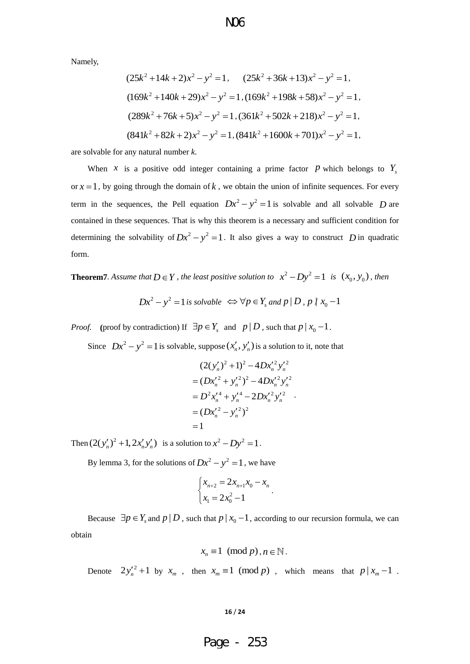Namely,

$$
(25k2 + 14k + 2)x2 - y2 = 1, \t(25k2 + 36k + 13)x2 - y2 = 1,(169k2 + 140k + 29)x2 - y2 = 1, (169k2 + 198k + 58)x2 - y2 = 1,(289k2 + 76k + 5)x2 - y2 = 1, (361k2 + 502k + 218)x2 - y2 = 1,(841k2 + 82k + 2)x2 - y2 = 1, (841k2 + 1600k + 701)x2 - y2 = 1,
$$

are solvable for any natural number *k*.

When *x* is a positive odd integer containing a prime factor *P* which belongs to  $Y_s$ or  $x = 1$ , by going through the domain of  $k$ , we obtain the union of infinite sequences. For every term in the sequences, the Pell equation  $Dx^2 - y^2 = 1$  is solvable and all solvable D are contained in these sequences. That is why this theorem is a necessary and sufficient condition for determining the solvability of  $Dx^2 - y^2 = 1$ . It also gives a way to construct D in quadratic form.

**Theorem7***. Assume that*  $D \in Y$ *, the least positive solution to*  $x^2 - Dy^2 = 1$  *is*  $(x_0, y_0)$ *, then* 

$$
Dx^2 - y^2 = 1
$$
 is solvable  $\Leftrightarrow \forall p \in Y_s$  and  $p \mid D, p \nmid x_0 - 1$ 

*Proof.* (proof by contradiction) If  $\exists p \in Y_s$  and  $p | D$ , such that  $p | x_0 - 1$ .

Since  $Dx^2 - y^2 = 1$  is solvable, suppose  $(x'_n, y'_n)$  is a solution to it, note that

$$
(2(y'_n)^2 + 1)^2 - 4Dx'_n y'_n
$$
  
=  $(Dx'_n^2 + y'_n)^2 - 4Dx'_n y'_n$   
=  $D^2x'_n^4 + y'_n^4 - 2Dx'_n y'_n$   
=  $(Dx'_n^2 - y'_n)^2$   
= 1

Then  $(2(y'_n)^2 + 1, 2x'_n y'_n)$  is a solution to  $x^2 - Dy^2 = 1$ .

By lemma 3, for the solutions of  $Dx^2 - y^2 = 1$ , we have

$$
\begin{cases} x_{n+2} = 2x_{n+1}x_0 - x_n \\ x_1 = 2x_0^2 - 1 \end{cases}.
$$

Because  $\exists p \in Y_s$  and  $p \mid D$ , such that  $p \mid x_0 - 1$ , according to our recursion formula, we can obtain

$$
x_n \equiv 1 \pmod{p}, n \in \mathbb{N}.
$$

Denote  $2y_n^2 + 1$  by  $x_m$ , then  $x_m \equiv 1 \pmod{p}$ , which means that  $p | x_m - 1$ .

**16** / **24**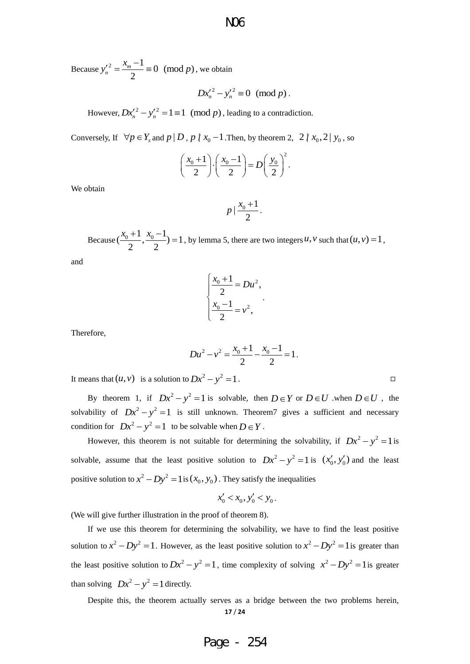Because  $y'_n{}^2 = \frac{x_m - 1}{2} \equiv 0 \pmod{p}$  $\frac{r^2}{n} = \frac{\lambda_m}{n}$  $y_n^2 = \frac{x_m - 1}{2} \equiv 0 \pmod{p}$ , we obtain

$$
Dx_n'^2 - y_n'^2 \equiv 0 \pmod{p}.
$$

However,  $Dx'_n{}^2 - y'_n{}^2 = 1 \equiv 1 \pmod{p}$ , leading to a contradiction.

Conversely, If  $\forall p \in Y_s$  and  $p | D$ ,  $p \nmid x_0 - 1$ . Then, by theorem 2, 2  $\mid x_0, 2 \mid y_0$ , so

$$
\left(\frac{x_0+1}{2}\right)\cdot \left(\frac{x_0-1}{2}\right) = D\left(\frac{y_0}{2}\right)^2.
$$

We obtain

$$
p\mid \frac{x_0+1}{2}.
$$

Because  $(\frac{x_0+1}{2}, \frac{x_0-1}{2}) = 1$  $\begin{array}{cc} 2 & 2 \end{array}$  $(\frac{x_0+1}{x_0-1}, \frac{x_0-1}{x_0}) = 1$ , by lemma 5, there are two integers  $u, v$  such that  $(u, v) = 1$ ,

and

$$
\begin{cases}\n\frac{x_0 + 1}{2} = Du^2, \\
\frac{x_0 - 1}{2} = v^2,\n\end{cases}
$$

.

Therefore,

$$
Du^{2}-v^{2}=\frac{x_{0}+1}{2}-\frac{x_{0}-1}{2}=1.
$$

It means that  $(u, v)$  is a solution to  $Dx^2 - y^2 = 1$ .

By theorem 1, if  $Dx^2 - y^2 = 1$  is solvable, then  $D \in Y$  or  $D \in U$  when  $D \in U$ , the solvability of  $Dx^2 - y^2 = 1$  is still unknown. Theorem7 gives a sufficient and necessary condition for  $Dx^2 - y^2 = 1$  to be solvable when  $D \in Y$ .

However, this theorem is not suitable for determining the solvability, if  $Dx^2 - y^2 = 1$  is solvable, assume that the least positive solution to  $Dx^2 - y^2 = 1$  is  $(x'_0, y'_0)$  and the least positive solution to  $x^2 - Dy^2 = 1$  is  $(x_0, y_0)$ . They satisfy the inequalities

$$
x'_0 < x_0, \, y'_0 < y_0 \, .
$$

(We will give further illustration in the proof of theorem 8).

If we use this theorem for determining the solvability, we have to find the least positive solution to  $x^2 - Dy^2 = 1$ . However, as the least positive solution to  $x^2 - Dy^2 = 1$  is greater than the least positive solution to  $Dx^2 - y^2 = 1$ , time complexity of solving  $x^2 - Dy^2 = 1$  is greater than solving  $Dx^2 - y^2 = 1$  directly.

**17** / **24** Despite this, the theorem actually serves as a bridge between the two problems herein,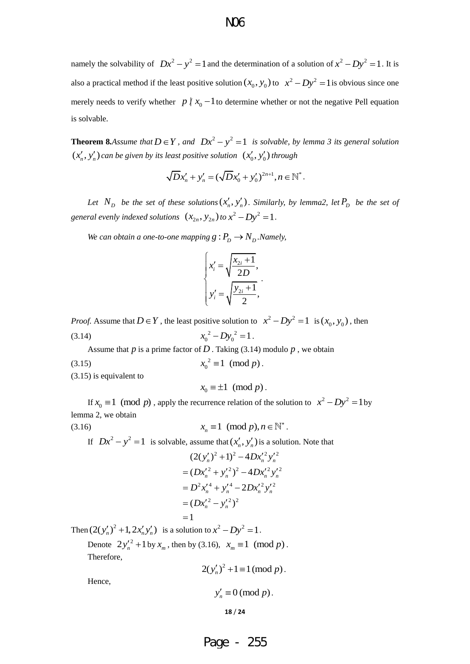namely the solvability of  $Dx^2 - y^2 = 1$  and the determination of a solution of  $x^2 - Dy^2 = 1$ . It is also a practical method if the least positive solution  $(x_0, y_0)$  to  $x^2 - Dy^2 = 1$  is obvious since one merely needs to verify whether  $p \nmid x_0 - 1$  to determine whether or not the negative Pell equation is solvable.

**Theorem 8.***Assume that*  $D \in Y$ , and  $Dx^2 - y^2 = 1$  is solvable, by lemma 3 its general solution  $(x'_n, y'_n)$  can be given by its least positive solution  $(x'_0, y'_0)$  through

$$
\sqrt{D}x'_n + y'_n = (\sqrt{D}x'_0 + y'_0)^{2n+1}, n \in \mathbb{N}^*.
$$

Let  $N_D$  be the set of these solutions  $(x'_n, y'_n)$ . Similarly, by lemma2, let  $P_D$  be the set of *general evenly indexed solutions*  $(x_{2n}, y_{2n})$  *to*  $x^2 - Dy^2 = 1$ .

*We can obtain a one-to-one mapping*  $g: P_D \to N_D$ . *Namely,* 

$$
\begin{cases} x'_i = \sqrt{\frac{x_{2i}+1}{2D}}, \\ y'_i = \sqrt{\frac{y_{2i}+1}{2}}, \end{cases}
$$

*Proof.* Assume that  $D \in Y$ , the least positive solution to  $x^2 - Dy^2 = 1$  is  $(x_0, y_0)$ , then (3.14)  $x_0^2 - Dy_0^2 = 1$ .

Assume that  $p$  is a prime factor of  $D$ . Taking (3.14) modulo  $p$ , we obtain

(3.15) 2  $x_0^2 \equiv 1 \pmod{p}$ .

(3.15) is equivalent to

 $x_0 \equiv \pm 1 \pmod{p}$ .

If  $x_0 \equiv 1 \pmod{p}$ , apply the recurrence relation of the solution to  $x^2 - Dy^2 = 1$  by lemma 2, we obtain

(3.16)

 $x_n \equiv 1 \pmod{p}, n \in \mathbb{N}^*$ .

If  $Dx^2 - y^2 = 1$  is solvable, assume that  $(x'_n, y'_n)$  is a solution. Note that

$$
(2(y'_n)^2 + 1)^2 - 4Dx'_n y'_n
$$
  
=  $(Dx'_n^2 + y'_n)^2 - 4Dx'_n y'_n$   
=  $D^2x'_n^4 + y'_n^4 - 2Dx'_n y'_n$   
=  $(Dx'_n^2 - y'_n)^2$   
= 1

Then  $(2(y'_n)^2 + 1, 2x'_n y'_n)$  is a solution to  $x^2 - Dy^2 = 1$ .

Denote  $2y_n^2 + 1$  by  $x_m$ , then by (3.16),  $x_m \equiv 1 \pmod{p}$ . Therefore,

$$
2(y'_n)^2 + 1 \equiv 1 \pmod{p}.
$$

Hence,

$$
y'_n \equiv 0 \pmod{p}.
$$

$$
18 \; / \; 24
$$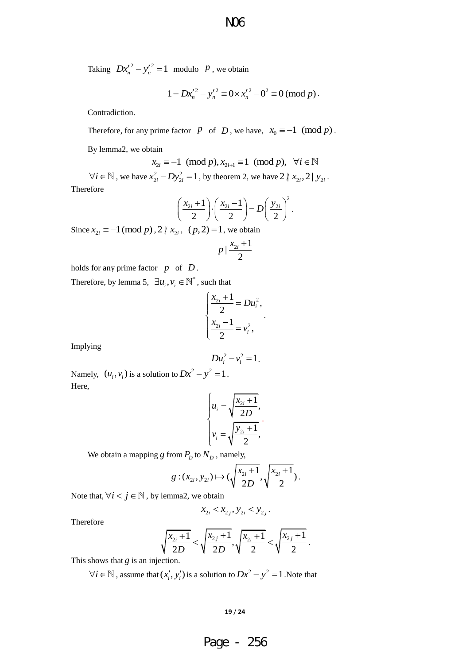Taking  $Dx_n^2 - y_n^2 = 1$  modulo *P*, we obtain

$$
1 = Dx_n^2 - y_n^2 \equiv 0 \times x_n^2 - 0^2 \equiv 0 \pmod{p}.
$$

Contradiction.

Therefore, for any prime factor  $p$  of  $D$ , we have,  $x_0 \equiv -1 \pmod{p}$ .

By lemma2, we obtain

$$
\begin{aligned}\n\text{train} \\
x_{2i} \equiv -1 \pmod{p}, \quad x_{2i+1} \equiv 1 \pmod{p}, \quad \forall i \in \mathbb{N}\n\end{aligned}
$$

 $\forall i \in \mathbb{N}$ , we have  $x_{2i}^2 - Dy_{2i}^2 = 1$ , by theorem 2, we have  $2 \nmid x_{2i}, 2 \nmid y_{2i}$ . Therefore

$$
\left(\frac{x_{2i}+1}{2}\right)\cdot\left(\frac{x_{2i}-1}{2}\right)=D\left(\frac{y_{2i}}{2}\right)^2.
$$

Since  $x_{2i} \equiv -1 \pmod{p}$ , 2  $\vert x_{2i}, (p, 2) = 1$ , we obtain

$$
p\mid\frac{x_{2i}+1}{2}
$$

holds for any prime factor  $p$  of  $D$ .

Therefore, by lemma 5,  $\exists u_i, v_i \in \mathbb{N}^*$ , such that

$$
\begin{cases} \frac{x_{2i}+1}{2} = Du_i^2, \\ \frac{x_{2i}-1}{2} = v_i^2, \end{cases}
$$

.

Implying

$$
Du_i^2-v_i^2=1.
$$

Namely,  $(u_i, v_i)$  is a solution to  $Dx^2 - y^2 = 1$ . Here,

$$
\begin{cases} u_i = \sqrt{\frac{x_{2i}+1}{2D}}, \\ v_i = \sqrt{\frac{y_{2i}+1}{2}}, \end{cases}
$$

We obtain a mapping *g* from *P<sub>D</sub>* to *N<sub>D</sub>*, namely,  
\n
$$
g:(x_{2i}, y_{2i}) \mapsto (\sqrt{\frac{x_{2i}+1}{2D}}, \sqrt{\frac{x_{2i}+1}{2}}).
$$

Note that,  $\forall i < j \in \mathbb{N}$ , by lemma2, we obtain

$$
x_{2i} < x_{2j}, y_{2i} < y_{2j}.
$$

Therefore

$$
\sqrt{\frac{x_{2i}+1}{2D}} < \sqrt{\frac{x_{2j}+1}{2D}}, \sqrt{\frac{x_{2i}+1}{2}} < \sqrt{\frac{x_{2j}+1}{2}}.
$$

This shows that *g* is an injection.

 $\forall i \in \mathbb{N}$ , assume that  $(x'_i, y'_i)$  is a solution to  $Dx^2 - y^2 = 1$ . Note that

#### **19** / **24**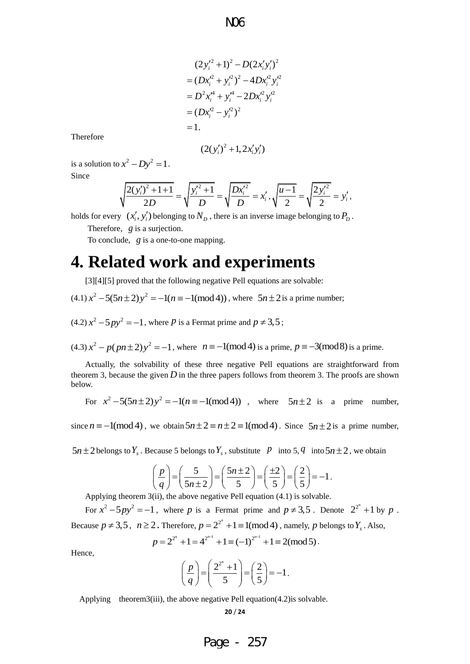$$
(2y_i'^2 + 1)^2 - D(2x_i'y_i')^2
$$
  
\n
$$
= (Dx_i'^2 + y_i'^2)^2 - 4Dx_i'^2y_i'^2
$$
  
\n
$$
= D^2x_i'^4 + y_i'^4 - 2Dx_i'^2y_i'^2
$$
  
\n
$$
= (Dx_i'^2 - y_i'^2)^2
$$
  
\n
$$
= 1.
$$
  
\n
$$
(2(y_i')^2 + 1, 2x_i'y_i')
$$
  
\n
$$
\sqrt{\frac{y_i'^2 + 1}{D}} = \sqrt{\frac{Dx_i'^2}{D}} = x_i', \sqrt{\frac{u - 1}{2}}
$$
  
\nto  $N_D$ , there is an inverse image  
\nthe mapping.  
\n**and experime**  $\theta$   
\n $\theta$   
\n $\theta$   
\n $\theta$   
\n $\theta$   
\n $\theta$   
\n $\theta$   
\n $\theta$   
\n $\theta$   
\n $\theta$   
\n $\theta$   
\n $\theta$   
\n $\theta$   
\n $\theta$   
\n $\theta$   
\n $\theta$   
\n $\theta$   
\n $\theta$   
\n $\theta$   
\n $\theta$   
\n $\theta$   
\n $\theta$   
\n $\theta$   
\n $\theta$   
\n $\theta$   
\n $\theta$   
\n $\theta$   
\n $\theta$   
\n $\theta$   
\n $\theta$   
\n $\theta$   
\n $\theta$   
\n $\theta$   
\n $\theta$   
\n $\theta$   
\n $\theta$   
\n $\theta$   
\n $\theta$   
\n $\theta$   
\n $\theta$   
\n $\theta$   
\n $\theta$   
\n $\theta$   
\n $\theta$   
\n $\theta$   
\n $\theta$   
\n $\theta$   
\n $\theta$   
\n $\theta$   
\n $\theta$ 

Therefore

$$
(2(y_i')^2 + 1, 2x_i'y_i')
$$

is a solution to  $x^2 - Dy^2 = 1$ . Since

$$
\sqrt{\frac{2(y_i')^2 + 1 + 1}{2D}} = \sqrt{\frac{y_i'^2 + 1}{D}} = \sqrt{\frac{Dx_i'^2}{D}} = x_i', \sqrt{\frac{u - 1}{2}} = \sqrt{\frac{2y_i'^2}{2}} = y_i',
$$

holds for every  $(x'_i, y'_i)$  belonging to  $N_D$ , there is an inverse image belonging to  $P_D$ .

Therefore, *g* is a surjection.

To conclude, *g* is a one-to-one mapping.

## **4. Related work and experiments**

[3][4][5] proved that the following negative Pell equations are solvable:  
(4.1) 
$$
x^2 - 5(5n \pm 2)y^2 = -1(n \equiv -1(\text{mod } 4))
$$
, where  $5n \pm 2$  is a prime number;

 $(4.2) x<sup>2</sup> - 5py<sup>2</sup> = -1$ , where *P* is a Fermat prime and  $p \neq 3.5$ ;

 $(4.3) x<sup>2</sup> - p(pn \pm 2) y<sup>2</sup> = -1$ , where  $n \equiv -1 \pmod{4}$  is a prime,  $p \equiv -3 \pmod{8}$  is a prime.

Actually, the solvability of these three negative Pell equations are straightforward from theorem 3, because the given  $D$  in the three papers follows from theorem 3. The proofs are shown below.

For 
$$
x^2-5(5n\pm 2)y^2 = -1(n \equiv -1(\text{mod }4))
$$
, where  $5n\pm 2$  is a prime number,

since  $n = -1 \pmod{4}$ , we obtain  $5n \pm 2 \equiv n \pm 2 \equiv 1 \pmod{4}$ . Since  $5n \pm 2$  is a prime number,

$$
5n \pm 2
$$
 belongs to  $Y_s$ . Because 5 belongs to  $Y_s$ , substitute *P* into 5, *q* into  $5n \pm 2$ , we obtain\n
$$
\left(\frac{p}{q}\right) = \left(\frac{5}{5n \pm 2}\right) = \left(\frac{5n \pm 2}{5}\right) = \left(\frac{\pm 2}{5}\right) = \left(\frac{2}{5}\right) = -1.
$$

Applying theorem 3(ii), the above negative Pell equation (4.1) is solvable.

For  $x^2 - 5py^2 = -1$ , where p is a Fermat prime and  $p \neq 3,5$ . Denote  $2^{2^n} + 1$  by p. Because  $p \neq 3, 5$ ,  $n \geq 2$ . Therefore,  $p = 2^{2^n} + 1 \equiv 1 \pmod{4}$ , namely, p belongs to  $Y_s$ . Also,<br>  $p = 2^{2^n} + 1 = 4^{2^{n-1}} + 1 \equiv (-1)^{2^{n-1}} + 1 \equiv 2 \pmod{5}$ .  $\binom{n}{r}$  1  $\binom{2^{n-1}}{r}$  1  $\binom{1}{r}$  $-1$   $1$   $(1)^{2^{n-1}}$ Therefore,  $p = 2^{2^n} + 1 \equiv 1 \pmod{4}$ , namely, p  $\downarrow$ <br>=  $2^{2^n} + 1 = 4^{2^{n-1}} + 1 \equiv (-1)^{2^{n-1}} + 1 \equiv 2 \pmod{5}$ .

$$
p = 2^{2^n} + 1 = 4^{2^{n-1}} + 1 \equiv (-1)^{2^{n-1}} + 1 \equiv 2 \pmod{5}.
$$

Hence,

$$
\left(\frac{p}{q}\right) = \left(\frac{2^{2^n}+1}{5}\right) = \left(\frac{2}{5}\right) = -1.
$$

Applying theorem3(iii), the above negative Pell equation(4.2) is solvable.

Page - 257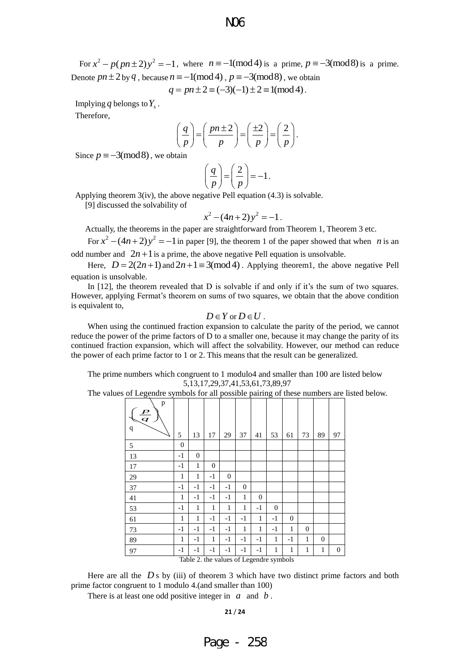For  $x^2 - p(pn \pm 2)y^2 = -1$ , where  $n \equiv -1 \pmod{4}$  is a prime,  $p \equiv -3 \pmod{8}$  is a prime. Denote  $pn \pm 2$  by  $q$ , because  $n \equiv -1 \pmod{4}$ ,  $p \equiv -3 \pmod{8}$ , we obtain  $q = pn \pm 2 \equiv (-3)(-1) \pm 2 \equiv 1 \pmod{4}$ .

$$
q = pn \pm 2 \equiv (-3)(-1) \pm 2 \equiv 1 \pmod{4}.
$$

Implying  $q$  belongs to  $Y_s$ .

Therefore,

$$
\left(\frac{q}{p}\right) = \left(\frac{pn \pm 2}{p}\right) = \left(\frac{\pm 2}{p}\right) = \left(\frac{2}{p}\right).
$$

Since  $p \equiv -3 \pmod{8}$ , we obtain

$$
\left(\frac{q}{p}\right) = \left(\frac{2}{p}\right) = -1.
$$

Applying theorem 3(iv), the above negative Pell equation (4.3) is solvable.

[9] discussed the solvability of

$$
x^2 - (4n + 2)y^2 = -1.
$$

Actually, the theorems in the paper are straightforward from Theorem 1, Theorem 3 etc.

For  $x^2 - (4n+2)y^2 = -1$  in paper [9], the theorem 1 of the paper showed that when *n* is an odd number and  $2n+1$  is a prime, the above negative Pell equation is unsolvable.

Here,  $D = 2(2n+1)$  and  $2n+1 \equiv 3 \pmod{4}$ . Applying theorem1, the above negative Pell equation is unsolvable.

In [12], the theorem revealed that D is solvable if and only if it's the sum of two squares. However, applying Fermat's theorem on sums of two squares, we obtain that the above condition is equivalent to,

$$
D\in Y\text{ or }D\in U\ .
$$

When using the continued fraction expansion to calculate the parity of the period, we cannot reduce the power of the prime factors of D to a smaller one, because it may change the parity of its continued fraction expansion, which will affect the solvability. However, our method can reduce the power of each prime factor to 1 or 2. This means that the result can be generalized.

The prime numbers which congruent to 1 modulo4 and smaller than 100 are listed below 5,13,17,29,37,41,53,61,73,89,97

The values of Legendre symbols for all possible pairing of these numbers are listed below.

| $\mathbf{p}$<br>$\frac{p}{q}$<br>$\mathbf q$ | 5            | 13           | 17             | 29             | 37             | 41               | 53           | 61           | 73               | 89           | 97               |
|----------------------------------------------|--------------|--------------|----------------|----------------|----------------|------------------|--------------|--------------|------------------|--------------|------------------|
| 5                                            | $\mathbf{0}$ |              |                |                |                |                  |              |              |                  |              |                  |
| 13                                           | $-1$         | $\mathbf{0}$ |                |                |                |                  |              |              |                  |              |                  |
| 17                                           | $-1$         | 1            | $\overline{0}$ |                |                |                  |              |              |                  |              |                  |
| 29                                           | 1            | 1            | $-1$           | $\overline{0}$ |                |                  |              |              |                  |              |                  |
| 37                                           | $-1$         | $-1$         | $-1$           | $-1$           | $\overline{0}$ |                  |              |              |                  |              |                  |
| 41                                           | 1            | $-1$         | $-1$           | $-1$           | $\mathbf{1}$   | $\boldsymbol{0}$ |              |              |                  |              |                  |
| 53                                           | $-1$         | 1            | 1              | 1              | $\mathbf{1}$   | $-1$             | $\mathbf{0}$ |              |                  |              |                  |
| 61                                           | 1            | 1            | $-1$           | $-1$           | $-1$           | $\mathbf{1}$     | $-1$         | $\mathbf{0}$ |                  |              |                  |
| 73                                           | $-1$         | $-1$         | $-1$           | $-1$           | 1              | 1                | $-1$         | 1            | $\boldsymbol{0}$ |              |                  |
| 89                                           | 1            | $-1$         | 1              | $-1$           | $-1$           | $-1$             | 1            | $-1$         | 1                | $\mathbf{0}$ |                  |
| 97                                           | $-1$         | $-1$         | $-1$           | $-1$           | $-1$           | $-1$             | 1            | 1            | 1                | $\mathbf{1}$ | $\boldsymbol{0}$ |
| Table 2. the values of Legendre symbols      |              |              |                |                |                |                  |              |              |                  |              |                  |

Here are all the  $D s$  by (iii) of theorem 3 which have two distinct prime factors and both prime factor congruent to 1 modulo 4.(and smaller than 100)

There is at least one odd positive integer in  $a$  and  $b$ .

**21** / **24**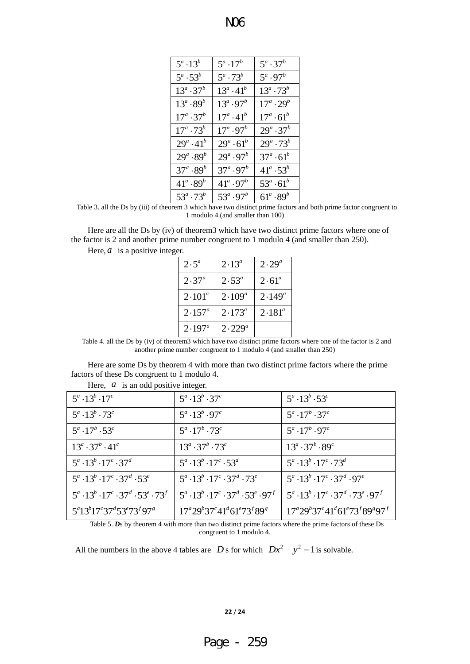| $5^a \cdot 13^b$      | $5^a \cdot 17^b$              | $5^a \cdot 37^b$   |
|-----------------------|-------------------------------|--------------------|
| $5^a \cdot 53^b$      | $5^a \cdot 73^b$              | $5^a \cdot 97^b$   |
| $13^a \cdot 37^b$     | $13^a \cdot 41^b$             | $13^a \cdot 73^b$  |
| $13^a \cdot 89^b$     | $13^a \tcdot 97^b$            | $17^a \cdot 29^b$  |
| $17^a \cdot 37^b$     | $17^a \cdot 41^b$             | $17^a \cdot 61^b$  |
| $17^a \tcdot 73^b$    | $17^{\circ} \cdot 97^{\circ}$ | $29^a \cdot 37^b$  |
| $29^a \cdot 41^b$     | $29^a \cdot 61^b$             | $29^a \tcdot 73^b$ |
| $29^{a} \cdot 89^{b}$ | $29^a \tcdot 97^b$            | $37^a \cdot 61^b$  |
| $37^a\!\cdot\!89^b$   | 37ª $\cdot 97^b$              | $41^a \tcdot 53^b$ |
| $41^a \cdot 89^b$     | $41^a \cdot 97^b$             | $53^a \cdot 61^b$  |
| $53^a \cdot 73^b$     | $53^a \cdot 97^b$             | $61^a \cdot 89^b$  |

Table 3. all the Ds by (iii) of theorem 3 which have two distinct prime factors and both prime factor congruent to 1 modulo 4.(and smaller than 100)

Here are all the Ds by (iv) of theorem3 which have two distinct prime factors where one of the factor is 2 and another prime number congruent to 1 modulo 4 (and smaller than 250).

Here,  $a$  is a positive integer.

| $2\cdot5^a$     | $2.13^{a}$  | $2 \cdot 29^a$ |
|-----------------|-------------|----------------|
| $2.37^{a}$      | $2.53^a$    | $2.61^{\circ}$ |
| $2 \cdot 101^a$ | $2.109^a$   | $2.149^a$      |
| $2.157^{a}$     | $2.173^a$   | $2.181^{a}$    |
| $2.197^a$       | $2.229^{a}$ |                |

Table 4. all the Ds by (iv) of theorem3 which have two distinct prime factors where one of the factor is 2 and another prime number congruent to 1 modulo 4 (and smaller than 250)

Here are some Ds by theorem 4 with more than two distinct prime factors where the prime factors of these Ds congruent to 1 modulo 4.

| $5^a \cdot 13^b \cdot 17^c$                                  | $5^a\cdot 13^b\cdot 37^c$                                    | $5^a \cdot 13^b \cdot 53^c$                                  |
|--------------------------------------------------------------|--------------------------------------------------------------|--------------------------------------------------------------|
| $5^a \cdot 13^b \cdot 73^c$                                  | $5^a \cdot 13^b \cdot 97^c$                                  | $5^a \cdot 17^b \cdot 37^c$                                  |
| $5^a \cdot 17^b \cdot 53^c$                                  | $5^a \cdot 17^b \cdot 73^c$                                  | $5^a \cdot 17^b \cdot 97^c$                                  |
| $13^a \cdot 37^b \cdot 41^c$                                 | $13^a \cdot 37^b \cdot 73^c$                                 | $13^a\cdot 37^b\cdot 89^c$                                   |
| $5^a \cdot 13^b \cdot 17^c \cdot 37^d$                       | $5^a \cdot 13^b \cdot 17^c \cdot 53^d$                       | $5^a \cdot 13^b \cdot 17^c \cdot 73^d$                       |
| $5^a \cdot 13^b \cdot 17^c \cdot 37^d \cdot 53^e$            | $5^a \cdot 13^b \cdot 17^c \cdot 37^d \cdot 73^e$            | $5^a \cdot 13^b \cdot 17^c \cdot 37^d \cdot 97^e$            |
| $5^a \cdot 13^b \cdot 17^c \cdot 37^d \cdot 53^e \cdot 73^f$ | $5^a \cdot 13^b \cdot 17^c \cdot 37^d \cdot 53^e \cdot 97^f$ | $5^a \cdot 13^b \cdot 17^c \cdot 37^d \cdot 73^e \cdot 97^f$ |
| $5^{a}13^{b}17^{c}37^{d}53^{e}73^{f}97^{g}$                  | $17^{a}29^{b}37^{c}41^{d}61^{e}73^{f}89^{g}$                 | $17^{a}29^{b}37^{c}41^{d}61^{e}73^{f}89^{s}97^{f}$           |

Here,  $a$  is an odd positive integer.

Table 5. *D*s by theorem 4 with more than two distinct prime factors where the prime factors of these Ds congruent to 1 modulo 4.

All the numbers in the above 4 tables are *D* s for which  $Dx^2 - y^2 = 1$  is solvable.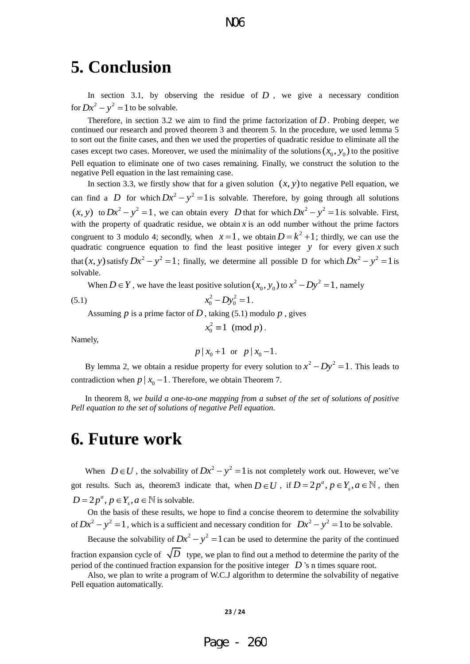## **5. Conclusion**

In section 3.1, by observing the residue of  $D$ , we give a necessary condition for  $Dx^2 - y^2 = 1$  to be solvable.

Therefore, in section 3.2 we aim to find the prime factorization of  $D$ . Probing deeper, we continued our research and proved theorem 3 and theorem 5. In the procedure, we used lemma 5 to sort out the finite cases, and then we used the properties of quadratic residue to eliminate all the cases except two cases. Moreover, we used the minimality of the solutions  $(x_0, y_0)$  to the positive Pell equation to eliminate one of two cases remaining. Finally, we construct the solution to the negative Pell equation in the last remaining case.

In section 3.3, we firstly show that for a given solution  $(x, y)$  to negative Pell equation, we can find a *D* for which  $Dx^2 - y^2 = 1$  is solvable. Therefore, by going through all solutions  $(x, y)$  to  $Dx^2 - y^2 = 1$ , we can obtain every *D* that for which  $Dx^2 - y^2 = 1$  is solvable. First, with the property of quadratic residue, we obtain  $x$  is an odd number without the prime factors congruent to 3 modulo 4; secondly, when  $x=1$ , we obtain  $D = k^2 + 1$ ; thirdly, we can use the quadratic congruence equation to find the least positive integer  $y$  for every given  $x$  such that  $(x, y)$  satisfy  $Dx^2 - y^2 = 1$ ; finally, we determine all possible D for which  $Dx^2 - y^2 = 1$  is solvable.

When  $D \in Y$ , we have the least positive solution  $(x_0, y_0)$  to  $x^2 - Dy^2 = 1$ , namely

(5.1) 
$$
x_0^2 - Dy_0^2 = 1.
$$

Assuming  $p$  is a prime factor of  $D$ , taking (5.1) modulo  $p$ , gives

$$
x_0^2 \equiv 1 \pmod{p}.
$$

Namely,

$$
p | x_0 + 1 \text{ or } p | x_0 - 1.
$$

By lemma 2, we obtain a residue property for every solution to  $x^2 - Dy^2 = 1$ . This leads to contradiction when  $p \mid x_0 - 1$ . Therefore, we obtain Theorem 7.

In theorem 8*, we build a one-to-one mapping from a subset of the set of solutions of positive Pell equation to the set of solutions of negative Pell equation.* 

## **6. Future work**

When  $D \in U$ , the solvability of  $Dx^2 - y^2 = 1$  is not completely work out. However, we've got results. Such as, theorem3 indicate that, when  $D \in U$ , if  $D = 2p^a$ ,  $p \in Y_s$ ,  $a \in \mathbb{N}$ , then  $D = 2p^a, p \in Y_s, a \in \mathbb{N}$  is solvable.

On the basis of these results, we hope to find a concise theorem to determine the solvability of  $Dx^2 - y^2 = 1$ , which is a sufficient and necessary condition for  $Dx^2 - y^2 = 1$  to be solvable.

Because the solvability of  $Dx^2 - y^2 = 1$  can be used to determine the parity of the continued fraction expansion cycle of  $\sqrt{D}$  type, we plan to find out a method to determine the parity of the period of the continued fraction expansion for the positive integer *D* 's n times square root.

Also, we plan to write a program of W.C.J algorithm to determine the solvability of negative Pell equation automatically.

$$
23/24
$$